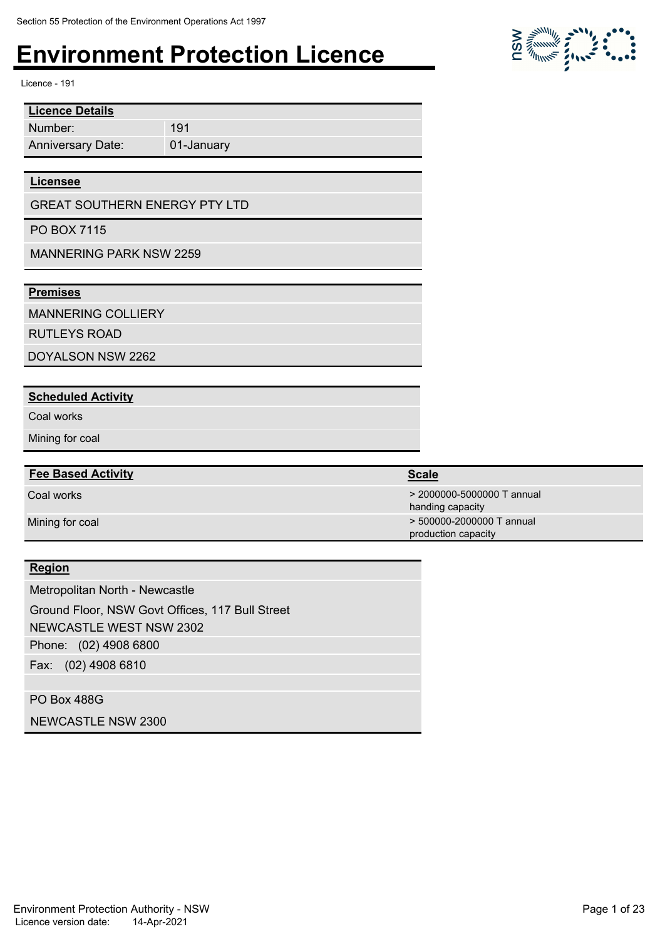01-January

191

Licence - 191

| <b>Licence Details</b>   |
|--------------------------|
| Number:                  |
| <b>Anniversary Date:</b> |

#### **Licensee**

GREAT SOUTHERN ENERGY PTY LTD

PO BOX 7115

MANNERING PARK NSW 2259

#### **Premises**

MANNERING COLLIERY

RUTLEYS ROAD

DOYALSON NSW 2262

#### **Scheduled Activity**

Coal works

Mining for coal

#### **Fee Based Activity Scale Scale Scale Scale**

#### **Region**

Phone: (02) 4908 6800 Fax: (02) 4908 6810 Metropolitan North - Newcastle Ground Floor, NSW Govt Offices, 117 Bull Street NEWCASTLE WEST NSW 2302

PO Box 488G

NEWCASTLE NSW 2300

 $\sum_{i=1}^{n} \sum_{j=1}^{n} \sum_{j=1}^{n} \sum_{j=1}^{n} \sum_{j=1}^{n} \sum_{j=1}^{n} \sum_{j=1}^{n} \sum_{j=1}^{n} \sum_{j=1}^{n} \sum_{j=1}^{n} \sum_{j=1}^{n} \sum_{j=1}^{n} \sum_{j=1}^{n} \sum_{j=1}^{n} \sum_{j=1}^{n} \sum_{j=1}^{n} \sum_{j=1}^{n} \sum_{j=1}^{n} \sum_{j=1}^{n} \sum_{j=1}^{n} \sum_{j=1}^{n} \sum_{j=1}^{n}$ 

Coal works > 2000000-5000000 T annual handing capacity Mining for coal **Mining for coal**  $\rightarrow$  500000-2000000 T annual production capacity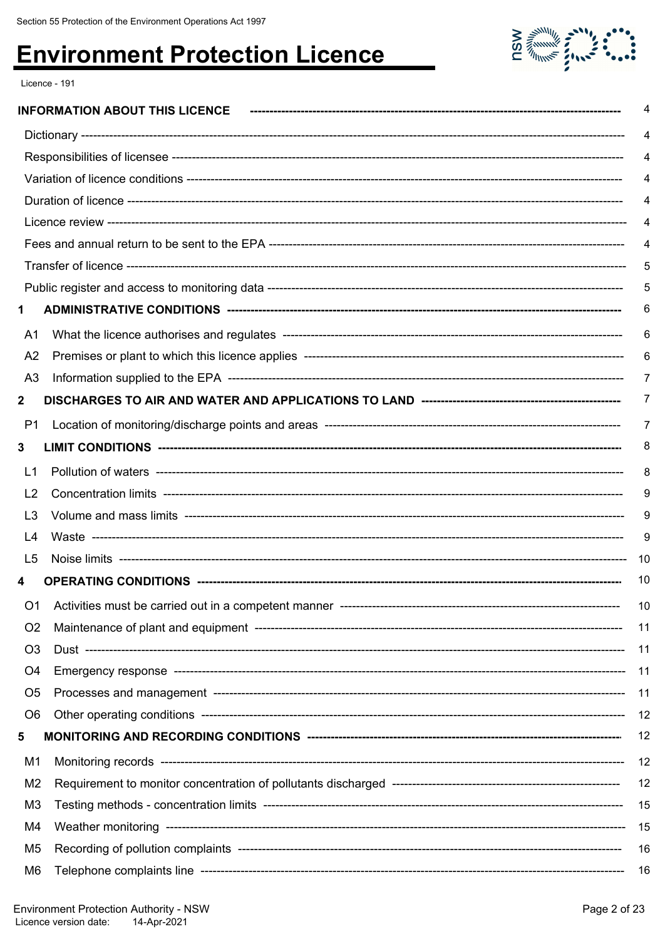

Licence - 191

|                | <b>INFORMATION ABOUT THIS LICENCE</b> | 4    |
|----------------|---------------------------------------|------|
|                |                                       | 4    |
|                |                                       | 4    |
|                |                                       |      |
|                |                                       | 4    |
|                |                                       | 4    |
|                |                                       | 4    |
|                |                                       | 5    |
|                |                                       | 5    |
| 1              |                                       | 6    |
| A1             |                                       | 6    |
| A <sub>2</sub> |                                       | 6    |
| A <sub>3</sub> |                                       | 7    |
| $\mathbf{2}$   |                                       | 7    |
| P1             |                                       | 7    |
| 3              |                                       | 8    |
| L1             |                                       | 8    |
| L <sub>2</sub> |                                       | 9    |
| L3             |                                       | 9    |
| L4             |                                       | 9    |
| L5             |                                       | -10  |
| 4              |                                       | 10   |
|                |                                       | 10   |
| O <sub>2</sub> |                                       | 11   |
| O <sub>3</sub> |                                       | - 11 |
| O4             |                                       | 11   |
| O <sub>5</sub> |                                       | - 11 |
| O <sub>6</sub> |                                       | 12   |
| 5              |                                       | 12   |
| M1             |                                       | 12   |
| M <sub>2</sub> |                                       | 12   |
| M <sub>3</sub> |                                       | 15   |
| M4             |                                       | - 15 |
| M <sub>5</sub> |                                       | 16   |
| M6             |                                       | - 16 |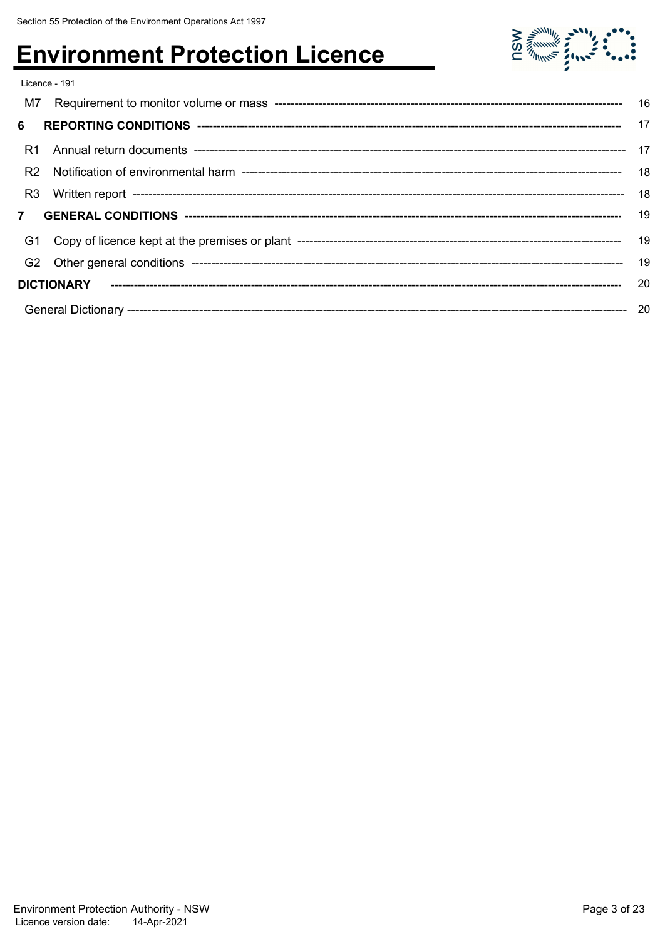

|                | Licence - 191 |    |
|----------------|---------------|----|
| M7             |               |    |
| 6              |               |    |
| R1             |               |    |
| R <sub>2</sub> |               |    |
| R <sub>3</sub> |               |    |
|                |               |    |
| G1             |               |    |
|                |               | 19 |
|                |               |    |
|                |               |    |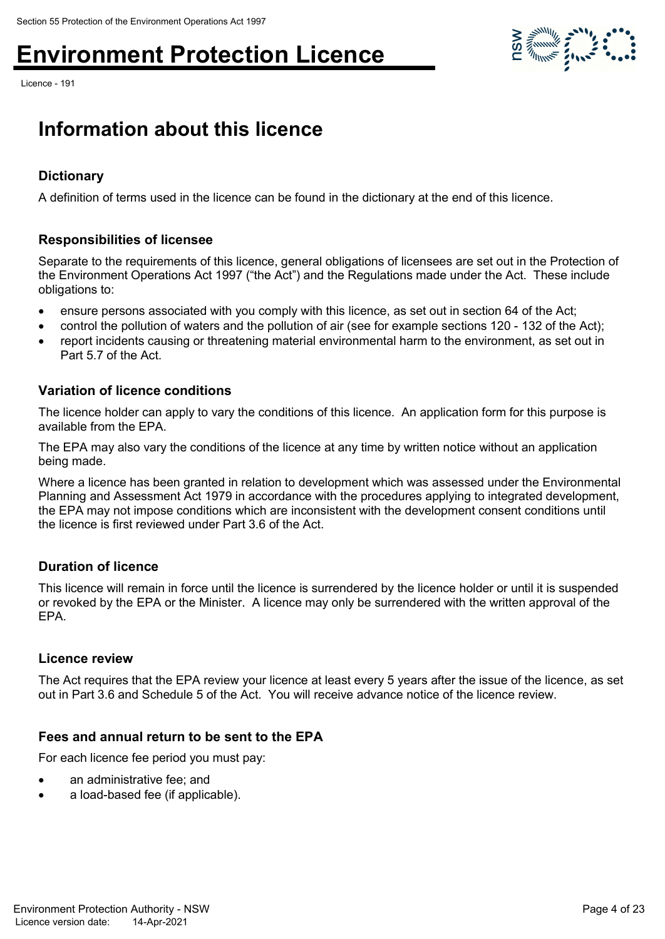Licence - 191



### **Information about this licence**

#### **Dictionary**

A definition of terms used in the licence can be found in the dictionary at the end of this licence.

#### **Responsibilities of licensee**

Separate to the requirements of this licence, general obligations of licensees are set out in the Protection of the Environment Operations Act 1997 ("the Act") and the Regulations made under the Act. These include obligations to:

- ensure persons associated with you comply with this licence, as set out in section 64 of the Act;
- control the pollution of waters and the pollution of air (see for example sections 120 132 of the Act);
- report incidents causing or threatening material environmental harm to the environment, as set out in Part 5.7 of the Act.

#### **Variation of licence conditions**

The licence holder can apply to vary the conditions of this licence. An application form for this purpose is available from the EPA.

The EPA may also vary the conditions of the licence at any time by written notice without an application being made.

Where a licence has been granted in relation to development which was assessed under the Environmental Planning and Assessment Act 1979 in accordance with the procedures applying to integrated development, the EPA may not impose conditions which are inconsistent with the development consent conditions until the licence is first reviewed under Part 3.6 of the Act.

#### **Duration of licence**

This licence will remain in force until the licence is surrendered by the licence holder or until it is suspended or revoked by the EPA or the Minister. A licence may only be surrendered with the written approval of the EPA.

#### **Licence review**

The Act requires that the EPA review your licence at least every 5 years after the issue of the licence, as set out in Part 3.6 and Schedule 5 of the Act. You will receive advance notice of the licence review.

#### **Fees and annual return to be sent to the EPA**

For each licence fee period you must pay:

- an administrative fee; and
- a load-based fee (if applicable).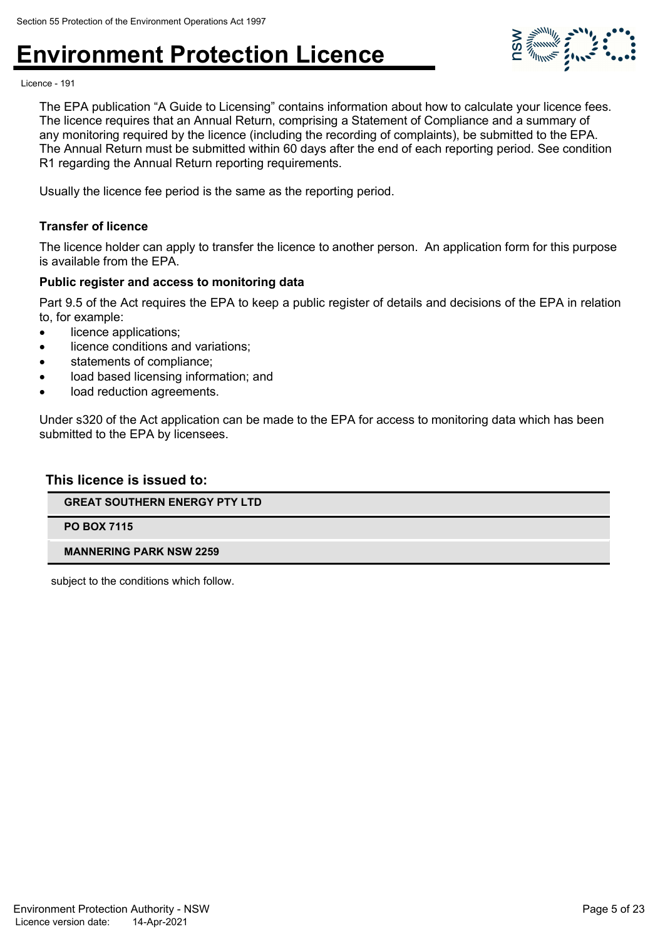

Licence - 191

The EPA publication "A Guide to Licensing" contains information about how to calculate your licence fees. The licence requires that an Annual Return, comprising a Statement of Compliance and a summary of any monitoring required by the licence (including the recording of complaints), be submitted to the EPA. The Annual Return must be submitted within 60 days after the end of each reporting period. See condition R1 regarding the Annual Return reporting requirements.

Usually the licence fee period is the same as the reporting period.

#### **Transfer of licence**

The licence holder can apply to transfer the licence to another person. An application form for this purpose is available from the EPA.

#### **Public register and access to monitoring data**

Part 9.5 of the Act requires the EPA to keep a public register of details and decisions of the EPA in relation to, for example:

- licence applications;
- licence conditions and variations;
- statements of compliance;
- load based licensing information; and
- load reduction agreements.

Under s320 of the Act application can be made to the EPA for access to monitoring data which has been submitted to the EPA by licensees.

#### **This licence is issued to:**

**GREAT SOUTHERN ENERGY PTY LTD**

**PO BOX 7115**

#### **MANNERING PARK NSW 2259**

subject to the conditions which follow.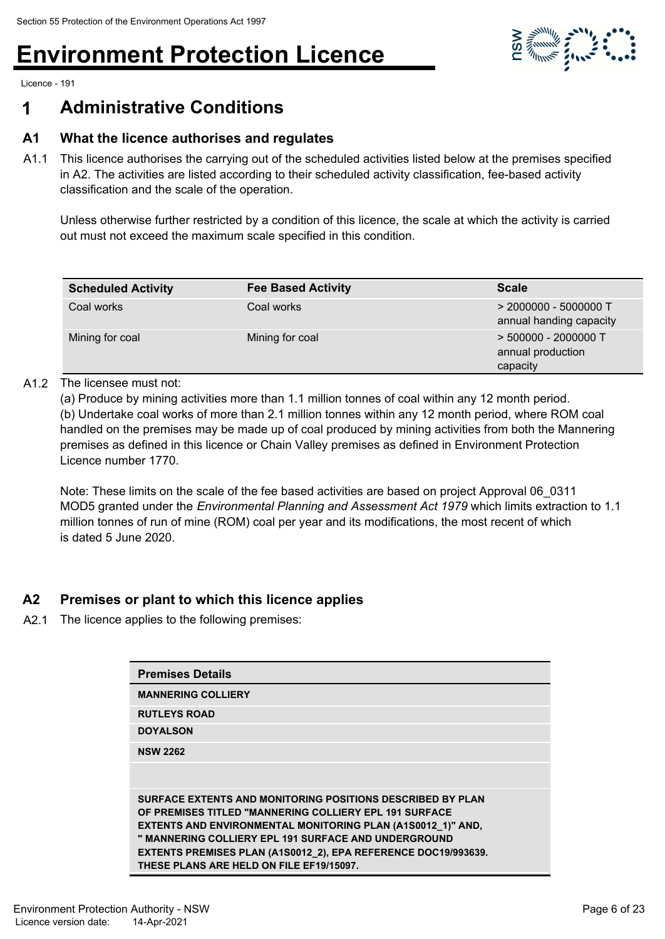

Licence - 191

### **1 Administrative Conditions**

#### **A1 What the licence authorises and regulates**

A1.1 This licence authorises the carrying out of the scheduled activities listed below at the premises specified in A2. The activities are listed according to their scheduled activity classification, fee-based activity classification and the scale of the operation.

Unless otherwise further restricted by a condition of this licence, the scale at which the activity is carried out must not exceed the maximum scale specified in this condition.

| <b>Scheduled Activity</b> | <b>Fee Based Activity</b> | <b>Scale</b>                                            |
|---------------------------|---------------------------|---------------------------------------------------------|
| Coal works                | Coal works                | $>$ 2000000 - 5000000 T<br>annual handing capacity      |
| Mining for coal           | Mining for coal           | $>$ 500000 - 2000000 T<br>annual production<br>capacity |

#### A1.2 The licensee must not:

(a) Produce by mining activities more than 1.1 million tonnes of coal within any 12 month period. (b) Undertake coal works of more than 2.1 million tonnes within any 12 month period, where ROM coal handled on the premises may be made up of coal produced by mining activities from both the Mannering premises as defined in this licence or Chain Valley premises as defined in Environment Protection Licence number 1770.

Note: These limits on the scale of the fee based activities are based on project Approval 06\_0311 MOD5 granted under the *Environmental Planning and Assessment Act 1979* which limits extraction to 1.1 million tonnes of run of mine (ROM) coal per year and its modifications, the most recent of which is dated 5 June 2020.

#### **A2 Premises or plant to which this licence applies**

A2.1 The licence applies to the following premises:

| <b>Premises Details</b>                                                                                                                                                                                                                                                                                                                                          |
|------------------------------------------------------------------------------------------------------------------------------------------------------------------------------------------------------------------------------------------------------------------------------------------------------------------------------------------------------------------|
| <b>MANNERING COLLIERY</b>                                                                                                                                                                                                                                                                                                                                        |
| <b>RUTLEYS ROAD</b>                                                                                                                                                                                                                                                                                                                                              |
| <b>DOYALSON</b>                                                                                                                                                                                                                                                                                                                                                  |
| <b>NSW 2262</b>                                                                                                                                                                                                                                                                                                                                                  |
|                                                                                                                                                                                                                                                                                                                                                                  |
| SURFACE EXTENTS AND MONITORING POSITIONS DESCRIBED BY PLAN<br>OF PREMISES TITLED "MANNERING COLLIERY EPL 191 SURFACE<br><b>EXTENTS AND ENVIRONMENTAL MONITORING PLAN (A1S0012 1)" AND,</b><br>" MANNERING COLLIERY EPL 191 SURFACE AND UNDERGROUND<br>EXTENTS PREMISES PLAN (A1S0012_2), EPA REFERENCE DOC19/993639.<br>THESE PLANS ARE HELD ON FILE EF19/15097. |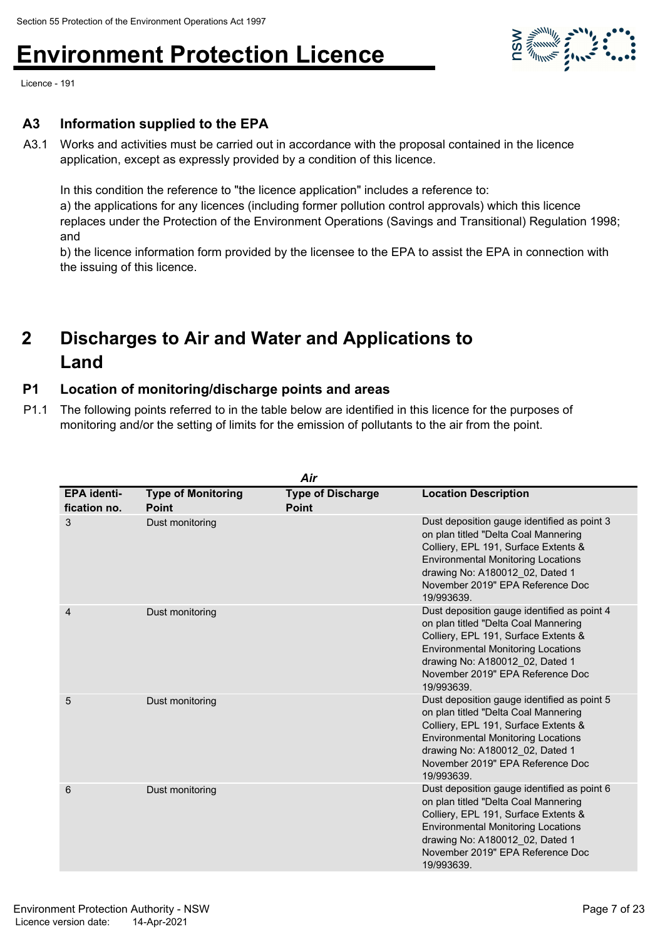

Licence - 191

#### **A3 Information supplied to the EPA**

A3.1 Works and activities must be carried out in accordance with the proposal contained in the licence application, except as expressly provided by a condition of this licence.

In this condition the reference to "the licence application" includes a reference to:

a) the applications for any licences (including former pollution control approvals) which this licence replaces under the Protection of the Environment Operations (Savings and Transitional) Regulation 1998; and

b) the licence information form provided by the licensee to the EPA to assist the EPA in connection with the issuing of this licence.

#### **Discharges to Air and Water and Applications to Land 2**

#### **P1 Location of monitoring/discharge points and areas**

P1.1 The following points referred to in the table below are identified in this licence for the purposes of monitoring and/or the setting of limits for the emission of pollutants to the air from the point.

|                                    |                                           | Air                                      |                                                                                                                                                                                                                                                               |
|------------------------------------|-------------------------------------------|------------------------------------------|---------------------------------------------------------------------------------------------------------------------------------------------------------------------------------------------------------------------------------------------------------------|
| <b>EPA</b> identi-<br>fication no. | <b>Type of Monitoring</b><br><b>Point</b> | <b>Type of Discharge</b><br><b>Point</b> | <b>Location Description</b>                                                                                                                                                                                                                                   |
| 3                                  | Dust monitoring                           |                                          | Dust deposition gauge identified as point 3<br>on plan titled "Delta Coal Mannering<br>Colliery, EPL 191, Surface Extents &<br><b>Environmental Monitoring Locations</b><br>drawing No: A180012 02, Dated 1<br>November 2019" EPA Reference Doc<br>19/993639. |
| 4                                  | Dust monitoring                           |                                          | Dust deposition gauge identified as point 4<br>on plan titled "Delta Coal Mannering<br>Colliery, EPL 191, Surface Extents &<br><b>Environmental Monitoring Locations</b><br>drawing No: A180012 02, Dated 1<br>November 2019" EPA Reference Doc<br>19/993639. |
| 5                                  | Dust monitoring                           |                                          | Dust deposition gauge identified as point 5<br>on plan titled "Delta Coal Mannering<br>Colliery, EPL 191, Surface Extents &<br><b>Environmental Monitoring Locations</b><br>drawing No: A180012 02, Dated 1<br>November 2019" EPA Reference Doc<br>19/993639. |
| 6                                  | Dust monitoring                           |                                          | Dust deposition gauge identified as point 6<br>on plan titled "Delta Coal Mannering<br>Colliery, EPL 191, Surface Extents &<br><b>Environmental Monitoring Locations</b><br>drawing No: A180012 02, Dated 1<br>November 2019" EPA Reference Doc<br>19/993639. |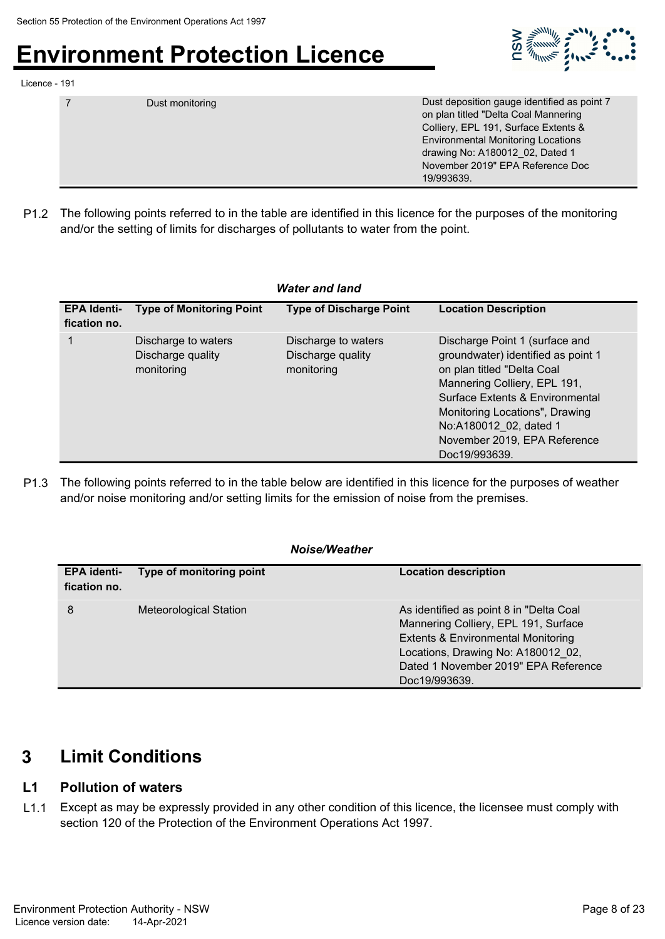

Licence - 191

|  | Dust monitoring | Dust deposition gauge identified as point 7<br>on plan titled "Delta Coal Mannering<br>Colliery, EPL 191, Surface Extents &<br><b>Environmental Monitoring Locations</b><br>drawing No: A180012 02, Dated 1<br>November 2019" EPA Reference Doc<br>19/993639. |
|--|-----------------|---------------------------------------------------------------------------------------------------------------------------------------------------------------------------------------------------------------------------------------------------------------|
|--|-----------------|---------------------------------------------------------------------------------------------------------------------------------------------------------------------------------------------------------------------------------------------------------------|

P1.2 The following points referred to in the table are identified in this licence for the purposes of the monitoring and/or the setting of limits for discharges of pollutants to water from the point.

| <b>Water and land</b>              |                                                        |                                                        |                                                                                                                                                                                                                                                                                    |  |  |
|------------------------------------|--------------------------------------------------------|--------------------------------------------------------|------------------------------------------------------------------------------------------------------------------------------------------------------------------------------------------------------------------------------------------------------------------------------------|--|--|
| <b>EPA Identi-</b><br>fication no. | <b>Type of Monitoring Point</b>                        | <b>Type of Discharge Point</b>                         | <b>Location Description</b>                                                                                                                                                                                                                                                        |  |  |
|                                    | Discharge to waters<br>Discharge quality<br>monitoring | Discharge to waters<br>Discharge quality<br>monitoring | Discharge Point 1 (surface and<br>groundwater) identified as point 1<br>on plan titled "Delta Coal<br>Mannering Colliery, EPL 191,<br>Surface Extents & Environmental<br>Monitoring Locations", Drawing<br>No:A180012 02, dated 1<br>November 2019, EPA Reference<br>Doc19/993639. |  |  |

P1.3 The following points referred to in the table below are identified in this licence for the purposes of weather and/or noise monitoring and/or setting limits for the emission of noise from the premises.

#### *Noise/Weather*

| <b>EPA identi-</b><br>fication no. | Type of monitoring point | <b>Location description</b>                                                                                                                                                                                                     |
|------------------------------------|--------------------------|---------------------------------------------------------------------------------------------------------------------------------------------------------------------------------------------------------------------------------|
| 8                                  | Meteorological Station   | As identified as point 8 in "Delta Coal<br>Mannering Colliery, EPL 191, Surface<br><b>Extents &amp; Environmental Monitoring</b><br>Locations, Drawing No: A180012 02,<br>Dated 1 November 2019" EPA Reference<br>Doc19/993639. |

### **3 Limit Conditions**

#### **L1 Pollution of waters**

L1.1 Except as may be expressly provided in any other condition of this licence, the licensee must comply with section 120 of the Protection of the Environment Operations Act 1997.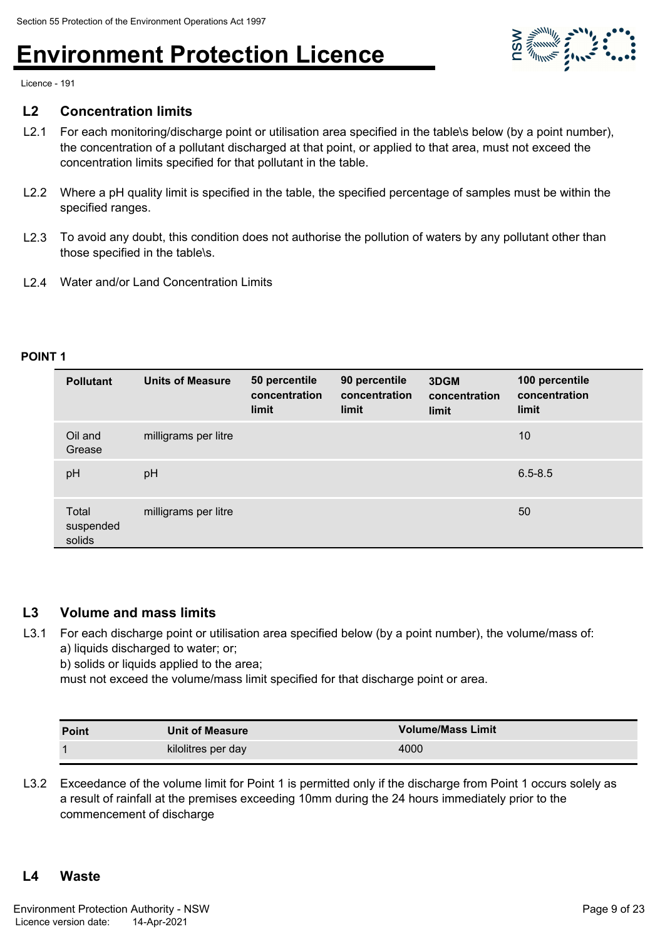

Licence - 191

#### **L2 Concentration limits**

- L2.1 For each monitoring/discharge point or utilisation area specified in the table\s below (by a point number), the concentration of a pollutant discharged at that point, or applied to that area, must not exceed the concentration limits specified for that pollutant in the table.
- L2.2 Where a pH quality limit is specified in the table, the specified percentage of samples must be within the specified ranges.
- L2.3 To avoid any doubt, this condition does not authorise the pollution of waters by any pollutant other than those specified in the table\s.
- L2.4 Water and/or Land Concentration Limits

#### **POINT 1**

| <b>Pollutant</b>             | <b>Units of Measure</b> | 50 percentile<br>concentration<br>limit | 90 percentile<br>concentration<br>limit | 3DGM<br>concentration<br>limit | 100 percentile<br>concentration<br>limit |
|------------------------------|-------------------------|-----------------------------------------|-----------------------------------------|--------------------------------|------------------------------------------|
| Oil and<br>Grease            | milligrams per litre    |                                         |                                         |                                | 10                                       |
| pH                           | pH                      |                                         |                                         |                                | $6.5 - 8.5$                              |
| Total<br>suspended<br>solids | milligrams per litre    |                                         |                                         |                                | 50                                       |

#### **L3 Volume and mass limits**

L3.1 For each discharge point or utilisation area specified below (by a point number), the volume/mass of: a) liquids discharged to water; or;

b) solids or liquids applied to the area;

must not exceed the volume/mass limit specified for that discharge point or area.

| <b>Point</b> | <b>Unit of Measure</b> | <b>Volume/Mass Limit</b> |
|--------------|------------------------|--------------------------|
|              | kilolitres per day     | 4000                     |

L3.2 Exceedance of the volume limit for Point 1 is permitted only if the discharge from Point 1 occurs solely as a result of rainfall at the premises exceeding 10mm during the 24 hours immediately prior to the commencement of discharge

#### **L4 Waste**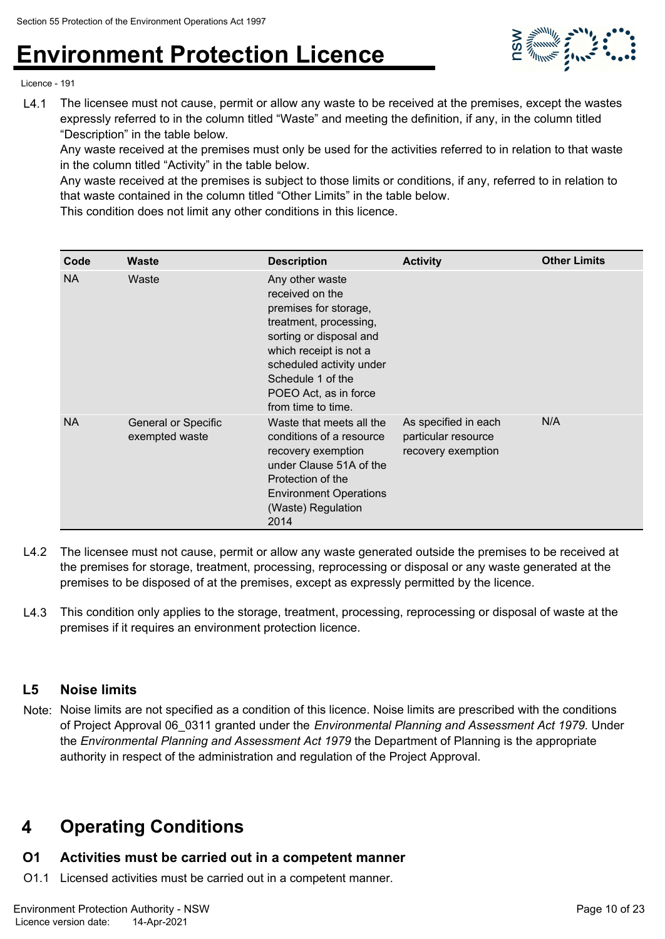

Licence - 191

L4.1 The licensee must not cause, permit or allow any waste to be received at the premises, except the wastes expressly referred to in the column titled "Waste" and meeting the definition, if any, in the column titled "Description" in the table below.

Any waste received at the premises must only be used for the activities referred to in relation to that waste in the column titled "Activity" in the table below.

Any waste received at the premises is subject to those limits or conditions, if any, referred to in relation to that waste contained in the column titled "Other Limits" in the table below.

This condition does not limit any other conditions in this licence.

| Code      | <b>Waste</b>                                 | <b>Description</b>                                                                                                                                                                                                                         | <b>Activity</b>                                                   | <b>Other Limits</b> |
|-----------|----------------------------------------------|--------------------------------------------------------------------------------------------------------------------------------------------------------------------------------------------------------------------------------------------|-------------------------------------------------------------------|---------------------|
| <b>NA</b> | Waste                                        | Any other waste<br>received on the<br>premises for storage,<br>treatment, processing,<br>sorting or disposal and<br>which receipt is not a<br>scheduled activity under<br>Schedule 1 of the<br>POEO Act, as in force<br>from time to time. |                                                                   |                     |
| <b>NA</b> | <b>General or Specific</b><br>exempted waste | Waste that meets all the<br>conditions of a resource<br>recovery exemption<br>under Clause 51A of the<br>Protection of the<br><b>Environment Operations</b><br>(Waste) Regulation<br>2014                                                  | As specified in each<br>particular resource<br>recovery exemption | N/A                 |

- L4.2 The licensee must not cause, permit or allow any waste generated outside the premises to be received at the premises for storage, treatment, processing, reprocessing or disposal or any waste generated at the premises to be disposed of at the premises, except as expressly permitted by the licence.
- L4.3 This condition only applies to the storage, treatment, processing, reprocessing or disposal of waste at the premises if it requires an environment protection licence.

#### **L5 Noise limits**

Note: Noise limits are not specified as a condition of this licence. Noise limits are prescribed with the conditions of Project Approval 06\_0311 granted under the *Environmental Planning and Assessment Act 1979.* Under the *Environmental Planning and Assessment Act 1979* the Department of Planning is the appropriate authority in respect of the administration and regulation of the Project Approval.

### **4 Operating Conditions**

### **O1 Activities must be carried out in a competent manner**

O1.1 Licensed activities must be carried out in a competent manner.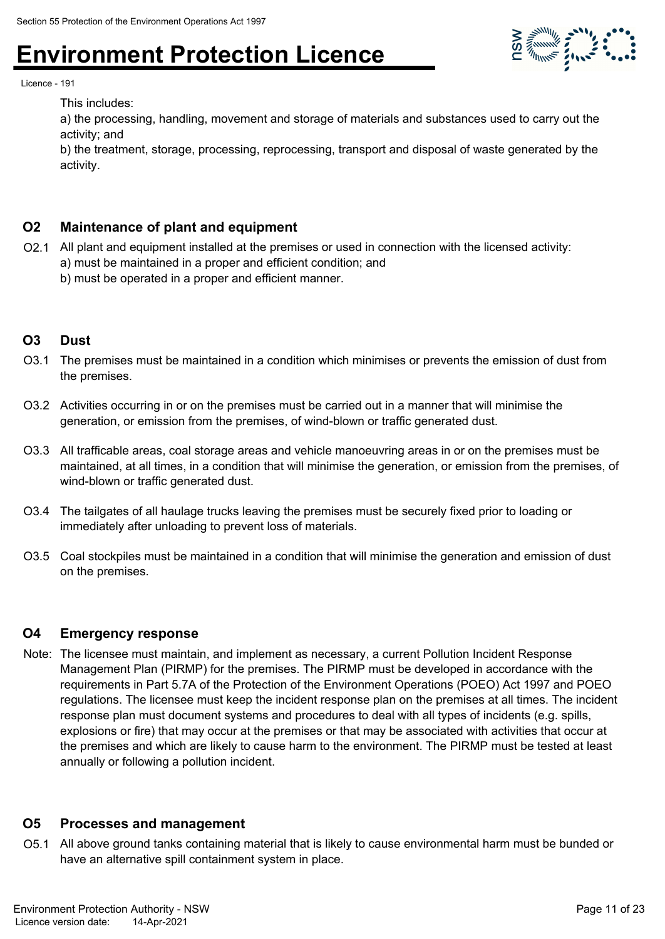

Licence - 191

This includes:

a) the processing, handling, movement and storage of materials and substances used to carry out the activity; and

b) the treatment, storage, processing, reprocessing, transport and disposal of waste generated by the activity.

#### **O2 Maintenance of plant and equipment**

- O2.1 All plant and equipment installed at the premises or used in connection with the licensed activity: a) must be maintained in a proper and efficient condition; and
	- b) must be operated in a proper and efficient manner.

#### **O3 Dust**

- O3.1 The premises must be maintained in a condition which minimises or prevents the emission of dust from the premises.
- O3.2 Activities occurring in or on the premises must be carried out in a manner that will minimise the generation, or emission from the premises, of wind-blown or traffic generated dust.
- O3.3 All trafficable areas, coal storage areas and vehicle manoeuvring areas in or on the premises must be maintained, at all times, in a condition that will minimise the generation, or emission from the premises, of wind-blown or traffic generated dust.
- O3.4 The tailgates of all haulage trucks leaving the premises must be securely fixed prior to loading or immediately after unloading to prevent loss of materials.
- O3.5 Coal stockpiles must be maintained in a condition that will minimise the generation and emission of dust on the premises.

#### **O4 Emergency response**

Note: The licensee must maintain, and implement as necessary, a current Pollution Incident Response Management Plan (PIRMP) for the premises. The PIRMP must be developed in accordance with the requirements in Part 5.7A of the Protection of the Environment Operations (POEO) Act 1997 and POEO regulations. The licensee must keep the incident response plan on the premises at all times. The incident response plan must document systems and procedures to deal with all types of incidents (e.g. spills, explosions or fire) that may occur at the premises or that may be associated with activities that occur at the premises and which are likely to cause harm to the environment. The PIRMP must be tested at least annually or following a pollution incident.

#### **O5 Processes and management**

O5.1 All above ground tanks containing material that is likely to cause environmental harm must be bunded or have an alternative spill containment system in place.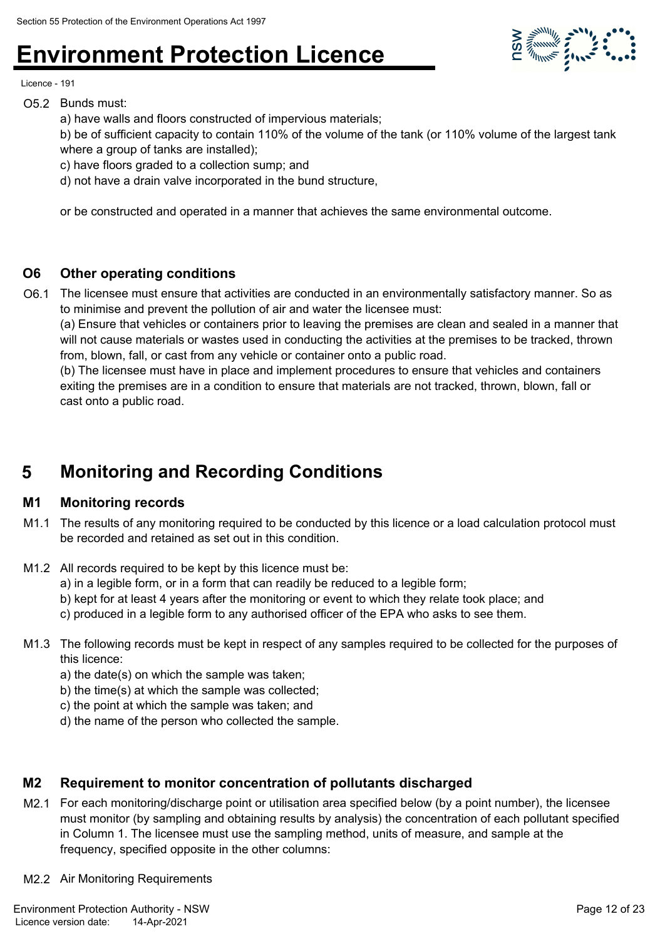

Licence - 191

- O5.2 Bunds must:
	- a) have walls and floors constructed of impervious materials;
	- b) be of sufficient capacity to contain 110% of the volume of the tank (or 110% volume of the largest tank where a group of tanks are installed);
	- c) have floors graded to a collection sump; and
	- d) not have a drain valve incorporated in the bund structure,

or be constructed and operated in a manner that achieves the same environmental outcome.

#### **O6 Other operating conditions**

O6.1 The licensee must ensure that activities are conducted in an environmentally satisfactory manner. So as to minimise and prevent the pollution of air and water the licensee must:

(a) Ensure that vehicles or containers prior to leaving the premises are clean and sealed in a manner that will not cause materials or wastes used in conducting the activities at the premises to be tracked, thrown from, blown, fall, or cast from any vehicle or container onto a public road.

(b) The licensee must have in place and implement procedures to ensure that vehicles and containers exiting the premises are in a condition to ensure that materials are not tracked, thrown, blown, fall or cast onto a public road.

### **5 Monitoring and Recording Conditions**

#### **M1 Monitoring records**

- M1.1 The results of any monitoring required to be conducted by this licence or a load calculation protocol must be recorded and retained as set out in this condition.
- M1.2 All records required to be kept by this licence must be:
	- a) in a legible form, or in a form that can readily be reduced to a legible form;
	- b) kept for at least 4 years after the monitoring or event to which they relate took place; and

c) produced in a legible form to any authorised officer of the EPA who asks to see them.

- M1.3 The following records must be kept in respect of any samples required to be collected for the purposes of this licence:
	- a) the date(s) on which the sample was taken;
	- b) the time(s) at which the sample was collected;
	- c) the point at which the sample was taken; and
	- d) the name of the person who collected the sample.

#### **M2 Requirement to monitor concentration of pollutants discharged**

- M2.1 For each monitoring/discharge point or utilisation area specified below (by a point number), the licensee must monitor (by sampling and obtaining results by analysis) the concentration of each pollutant specified in Column 1. The licensee must use the sampling method, units of measure, and sample at the frequency, specified opposite in the other columns:
- M2.2 Air Monitoring Requirements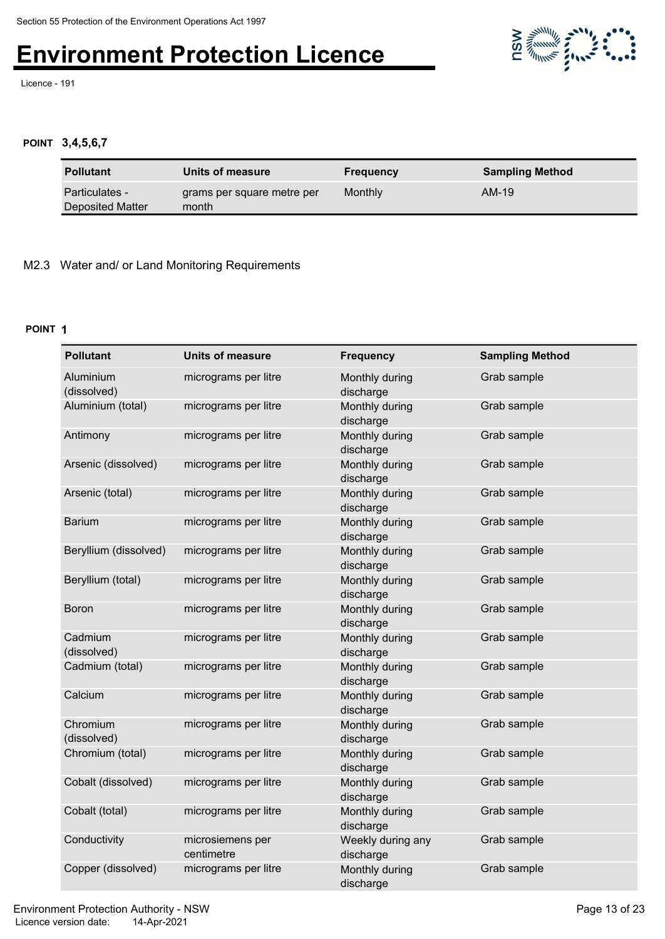Licence - 191



#### **POINT 3,4,5,6,7**

| <b>Pollutant</b>                          | Units of measure                    | <b>Frequency</b> | <b>Sampling Method</b> |
|-------------------------------------------|-------------------------------------|------------------|------------------------|
| <b>Particulates -</b><br>Deposited Matter | grams per square metre per<br>month | Monthly          | AM-19                  |

#### M2.3 Water and/ or Land Monitoring Requirements

#### **POINT 1**

| <b>Pollutant</b>         | <b>Units of measure</b>        | <b>Frequency</b>               | <b>Sampling Method</b> |
|--------------------------|--------------------------------|--------------------------------|------------------------|
| Aluminium<br>(dissolved) | micrograms per litre           | Monthly during<br>discharge    | Grab sample            |
| Aluminium (total)        | micrograms per litre           | Monthly during<br>discharge    | Grab sample            |
| Antimony                 | micrograms per litre           | Monthly during<br>discharge    | Grab sample            |
| Arsenic (dissolved)      | micrograms per litre           | Monthly during<br>discharge    | Grab sample            |
| Arsenic (total)          | micrograms per litre           | Monthly during<br>discharge    | Grab sample            |
| <b>Barium</b>            | micrograms per litre           | Monthly during<br>discharge    | Grab sample            |
| Beryllium (dissolved)    | micrograms per litre           | Monthly during<br>discharge    | Grab sample            |
| Beryllium (total)        | micrograms per litre           | Monthly during<br>discharge    | Grab sample            |
| <b>Boron</b>             | micrograms per litre           | Monthly during<br>discharge    | Grab sample            |
| Cadmium<br>(dissolved)   | micrograms per litre           | Monthly during<br>discharge    | Grab sample            |
| Cadmium (total)          | micrograms per litre           | Monthly during<br>discharge    | Grab sample            |
| Calcium                  | micrograms per litre           | Monthly during<br>discharge    | Grab sample            |
| Chromium<br>(dissolved)  | micrograms per litre           | Monthly during<br>discharge    | Grab sample            |
| Chromium (total)         | micrograms per litre           | Monthly during<br>discharge    | Grab sample            |
| Cobalt (dissolved)       | micrograms per litre           | Monthly during<br>discharge    | Grab sample            |
| Cobalt (total)           | micrograms per litre           | Monthly during<br>discharge    | Grab sample            |
| Conductivity             | microsiemens per<br>centimetre | Weekly during any<br>discharge | Grab sample            |
| Copper (dissolved)       | micrograms per litre           | Monthly during<br>discharge    | Grab sample            |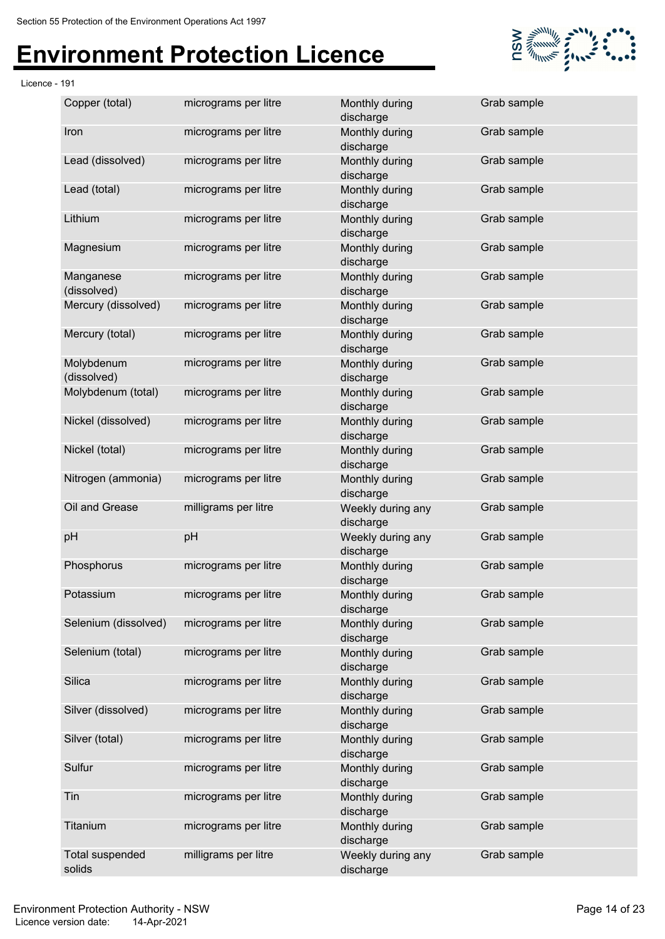Licence - 191



| Copper (total)                   | micrograms per litre | Monthly during<br>discharge    | Grab sample |
|----------------------------------|----------------------|--------------------------------|-------------|
| Iron                             | micrograms per litre | Monthly during<br>discharge    | Grab sample |
| Lead (dissolved)                 | micrograms per litre | Monthly during<br>discharge    | Grab sample |
| Lead (total)                     | micrograms per litre | Monthly during<br>discharge    | Grab sample |
| Lithium                          | micrograms per litre | Monthly during<br>discharge    | Grab sample |
| Magnesium                        | micrograms per litre | Monthly during<br>discharge    | Grab sample |
| Manganese<br>(dissolved)         | micrograms per litre | Monthly during<br>discharge    | Grab sample |
| Mercury (dissolved)              | micrograms per litre | Monthly during<br>discharge    | Grab sample |
| Mercury (total)                  | micrograms per litre | Monthly during<br>discharge    | Grab sample |
| Molybdenum<br>(dissolved)        | micrograms per litre | Monthly during<br>discharge    | Grab sample |
| Molybdenum (total)               | micrograms per litre | Monthly during<br>discharge    | Grab sample |
| Nickel (dissolved)               | micrograms per litre | Monthly during<br>discharge    | Grab sample |
| Nickel (total)                   | micrograms per litre | Monthly during<br>discharge    | Grab sample |
| Nitrogen (ammonia)               | micrograms per litre | Monthly during<br>discharge    | Grab sample |
| Oil and Grease                   | milligrams per litre | Weekly during any<br>discharge | Grab sample |
| pH                               | pH                   | Weekly during any<br>discharge | Grab sample |
| Phosphorus                       | micrograms per litre | Monthly during<br>discharge    | Grab sample |
| Potassium                        | micrograms per litre | Monthly during<br>discharge    | Grab sample |
| Selenium (dissolved)             | micrograms per litre | Monthly during<br>discharge    | Grab sample |
| Selenium (total)                 | micrograms per litre | Monthly during<br>discharge    | Grab sample |
| Silica                           | micrograms per litre | Monthly during<br>discharge    | Grab sample |
| Silver (dissolved)               | micrograms per litre | Monthly during<br>discharge    | Grab sample |
| Silver (total)                   | micrograms per litre | Monthly during<br>discharge    | Grab sample |
| Sulfur                           | micrograms per litre | Monthly during<br>discharge    | Grab sample |
| Tin                              | micrograms per litre | Monthly during<br>discharge    | Grab sample |
| Titanium                         | micrograms per litre | Monthly during<br>discharge    | Grab sample |
| <b>Total suspended</b><br>solids | milligrams per litre | Weekly during any<br>discharge | Grab sample |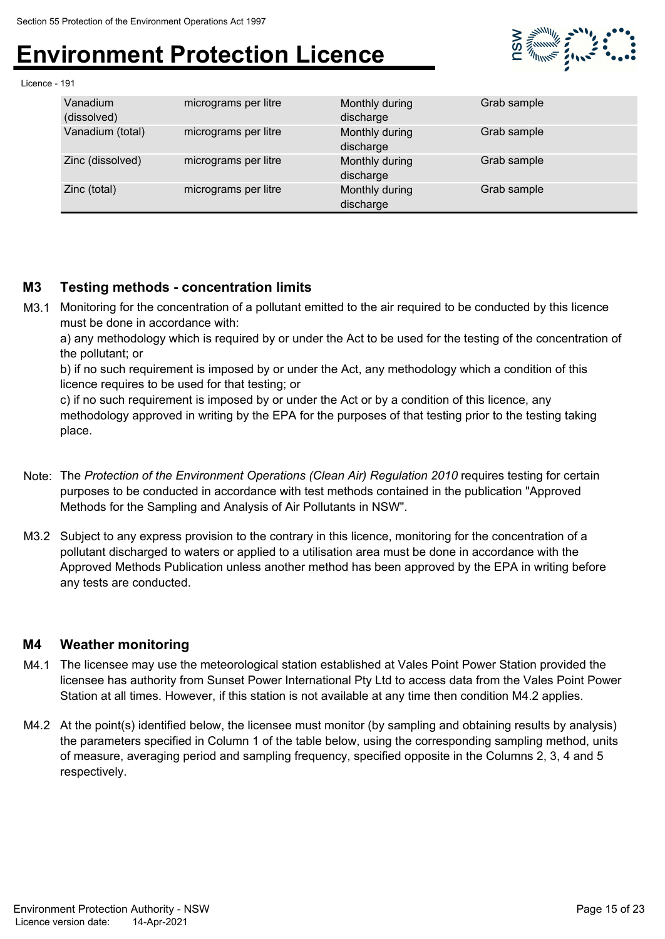

Licence - 191

| Vanadium<br>(dissolved) | micrograms per litre | Monthly during<br>discharge | Grab sample |
|-------------------------|----------------------|-----------------------------|-------------|
| Vanadium (total)        | micrograms per litre | Monthly during<br>discharge | Grab sample |
| Zinc (dissolved)        | micrograms per litre | Monthly during<br>discharge | Grab sample |
| Zinc (total)            | micrograms per litre | Monthly during<br>discharge | Grab sample |

#### **M3 Testing methods - concentration limits**

M3.1 Monitoring for the concentration of a pollutant emitted to the air required to be conducted by this licence must be done in accordance with:

a) any methodology which is required by or under the Act to be used for the testing of the concentration of the pollutant; or

b) if no such requirement is imposed by or under the Act, any methodology which a condition of this licence requires to be used for that testing; or

c) if no such requirement is imposed by or under the Act or by a condition of this licence, any methodology approved in writing by the EPA for the purposes of that testing prior to the testing taking place.

- Note: The *Protection of the Environment Operations (Clean Air) Regulation 2010* requires testing for certain purposes to be conducted in accordance with test methods contained in the publication "Approved Methods for the Sampling and Analysis of Air Pollutants in NSW".
- M3.2 Subject to any express provision to the contrary in this licence, monitoring for the concentration of a pollutant discharged to waters or applied to a utilisation area must be done in accordance with the Approved Methods Publication unless another method has been approved by the EPA in writing before any tests are conducted.

#### **M4 Weather monitoring**

- M4.1 The licensee may use the meteorological station established at Vales Point Power Station provided the licensee has authority from Sunset Power International Pty Ltd to access data from the Vales Point Power Station at all times. However, if this station is not available at any time then condition M4.2 applies.
- M4.2 At the point(s) identified below, the licensee must monitor (by sampling and obtaining results by analysis) the parameters specified in Column 1 of the table below, using the corresponding sampling method, units of measure, averaging period and sampling frequency, specified opposite in the Columns 2, 3, 4 and 5 respectively.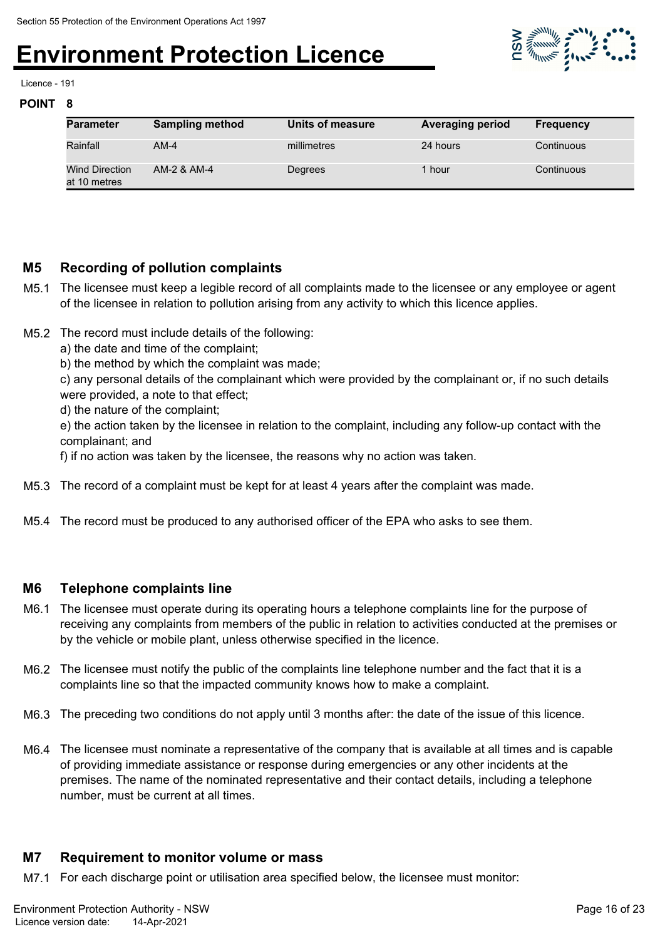

Licence - 191

#### **POINT 8**

| <b>Parameter</b>               | <b>Sampling method</b> | Units of measure | <b>Averaging period</b> | <b>Frequency</b> |
|--------------------------------|------------------------|------------------|-------------------------|------------------|
| Rainfall                       | $AM-4$                 | millimetres      | 24 hours                | Continuous       |
| Wind Direction<br>at 10 metres | AM-2 & AM-4            | Degrees          | 1 hour                  | Continuous       |

#### **M5 Recording of pollution complaints**

- M5.1 The licensee must keep a legible record of all complaints made to the licensee or any employee or agent of the licensee in relation to pollution arising from any activity to which this licence applies.
- M5.2 The record must include details of the following:
	- a) the date and time of the complaint;
	- b) the method by which the complaint was made;

c) any personal details of the complainant which were provided by the complainant or, if no such details were provided, a note to that effect;

d) the nature of the complaint;

e) the action taken by the licensee in relation to the complaint, including any follow-up contact with the complainant; and

f) if no action was taken by the licensee, the reasons why no action was taken.

- M5.3 The record of a complaint must be kept for at least 4 years after the complaint was made.
- M5.4 The record must be produced to any authorised officer of the EPA who asks to see them.

#### **M6 Telephone complaints line**

- M6.1 The licensee must operate during its operating hours a telephone complaints line for the purpose of receiving any complaints from members of the public in relation to activities conducted at the premises or by the vehicle or mobile plant, unless otherwise specified in the licence.
- M6.2 The licensee must notify the public of the complaints line telephone number and the fact that it is a complaints line so that the impacted community knows how to make a complaint.
- M6.3 The preceding two conditions do not apply until 3 months after: the date of the issue of this licence.
- M6.4 The licensee must nominate a representative of the company that is available at all times and is capable of providing immediate assistance or response during emergencies or any other incidents at the premises. The name of the nominated representative and their contact details, including a telephone number, must be current at all times.

#### **M7 Requirement to monitor volume or mass**

M7.1 For each discharge point or utilisation area specified below, the licensee must monitor: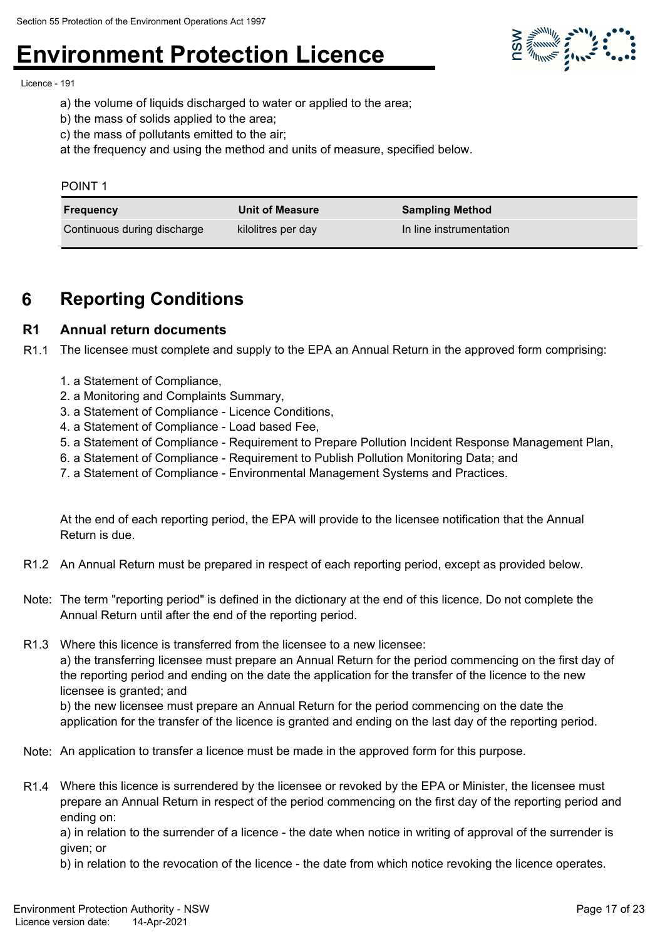

Licence - 191

- a) the volume of liquids discharged to water or applied to the area;
- b) the mass of solids applied to the area;
- c) the mass of pollutants emitted to the air;

at the frequency and using the method and units of measure, specified below.

| 'OIN' |  |
|-------|--|
|       |  |

| Frequency                   | <b>Unit of Measure</b> | <b>Sampling Method</b>  |
|-----------------------------|------------------------|-------------------------|
| Continuous during discharge | kilolitres per day     | In line instrumentation |

### **6 Reporting Conditions**

#### **R1 Annual return documents**

R1.1 The licensee must complete and supply to the EPA an Annual Return in the approved form comprising:

- 1. a Statement of Compliance,
- 2. a Monitoring and Complaints Summary,
- 3. a Statement of Compliance Licence Conditions,
- 4. a Statement of Compliance Load based Fee,
- 5. a Statement of Compliance Requirement to Prepare Pollution Incident Response Management Plan,
- 6. a Statement of Compliance Requirement to Publish Pollution Monitoring Data; and
- 7. a Statement of Compliance Environmental Management Systems and Practices.

At the end of each reporting period, the EPA will provide to the licensee notification that the Annual Return is due.

- R1.2 An Annual Return must be prepared in respect of each reporting period, except as provided below.
- Note: The term "reporting period" is defined in the dictionary at the end of this licence. Do not complete the Annual Return until after the end of the reporting period.
- R1.3 Where this licence is transferred from the licensee to a new licensee:

a) the transferring licensee must prepare an Annual Return for the period commencing on the first day of the reporting period and ending on the date the application for the transfer of the licence to the new licensee is granted; and

b) the new licensee must prepare an Annual Return for the period commencing on the date the application for the transfer of the licence is granted and ending on the last day of the reporting period.

- Note: An application to transfer a licence must be made in the approved form for this purpose.
- R1.4 Where this licence is surrendered by the licensee or revoked by the EPA or Minister, the licensee must prepare an Annual Return in respect of the period commencing on the first day of the reporting period and ending on:

a) in relation to the surrender of a licence - the date when notice in writing of approval of the surrender is given; or

b) in relation to the revocation of the licence - the date from which notice revoking the licence operates.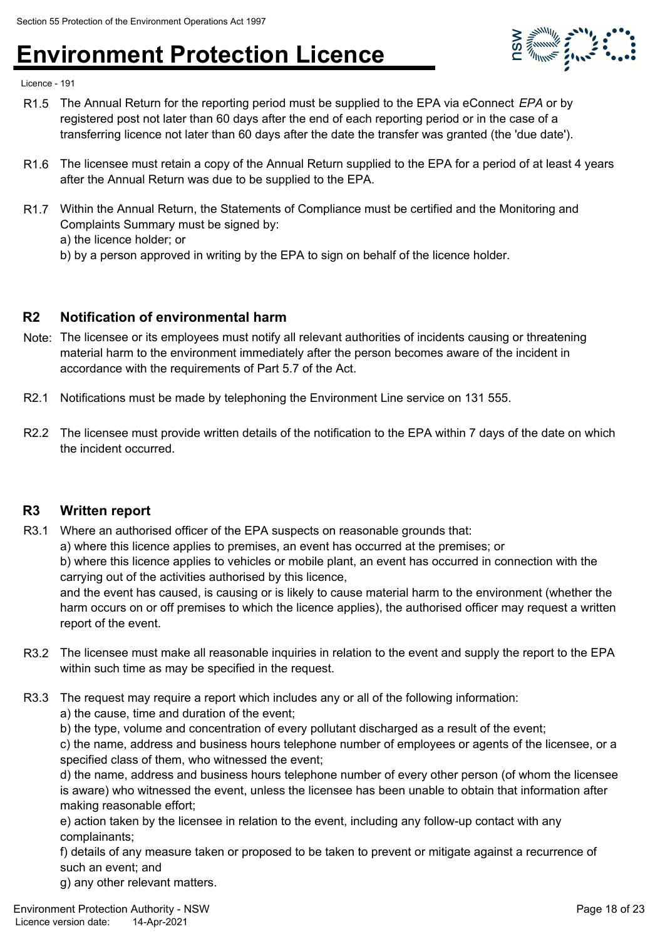

Licence - 191

- R1.5 The Annual Return for the reporting period must be supplied to the EPA via eConnect *EPA* or by registered post not later than 60 days after the end of each reporting period or in the case of a transferring licence not later than 60 days after the date the transfer was granted (the 'due date').
- R1.6 The licensee must retain a copy of the Annual Return supplied to the EPA for a period of at least 4 years after the Annual Return was due to be supplied to the EPA.
- R1.7 Within the Annual Return, the Statements of Compliance must be certified and the Monitoring and Complaints Summary must be signed by:
	- a) the licence holder; or
	- b) by a person approved in writing by the EPA to sign on behalf of the licence holder.

#### **R2 Notification of environmental harm**

- Note: The licensee or its employees must notify all relevant authorities of incidents causing or threatening material harm to the environment immediately after the person becomes aware of the incident in accordance with the requirements of Part 5.7 of the Act.
- R2.1 Notifications must be made by telephoning the Environment Line service on 131 555.
- R2.2 The licensee must provide written details of the notification to the EPA within 7 days of the date on which the incident occurred.

#### **R3 Written report**

- R3.1 Where an authorised officer of the EPA suspects on reasonable grounds that:
	- a) where this licence applies to premises, an event has occurred at the premises; or

b) where this licence applies to vehicles or mobile plant, an event has occurred in connection with the carrying out of the activities authorised by this licence,

and the event has caused, is causing or is likely to cause material harm to the environment (whether the harm occurs on or off premises to which the licence applies), the authorised officer may request a written report of the event.

- R3.2 The licensee must make all reasonable inquiries in relation to the event and supply the report to the EPA within such time as may be specified in the request.
- R3.3 The request may require a report which includes any or all of the following information:
	- a) the cause, time and duration of the event;
	- b) the type, volume and concentration of every pollutant discharged as a result of the event;

c) the name, address and business hours telephone number of employees or agents of the licensee, or a specified class of them, who witnessed the event;

d) the name, address and business hours telephone number of every other person (of whom the licensee is aware) who witnessed the event, unless the licensee has been unable to obtain that information after making reasonable effort;

e) action taken by the licensee in relation to the event, including any follow-up contact with any complainants;

f) details of any measure taken or proposed to be taken to prevent or mitigate against a recurrence of such an event; and

g) any other relevant matters.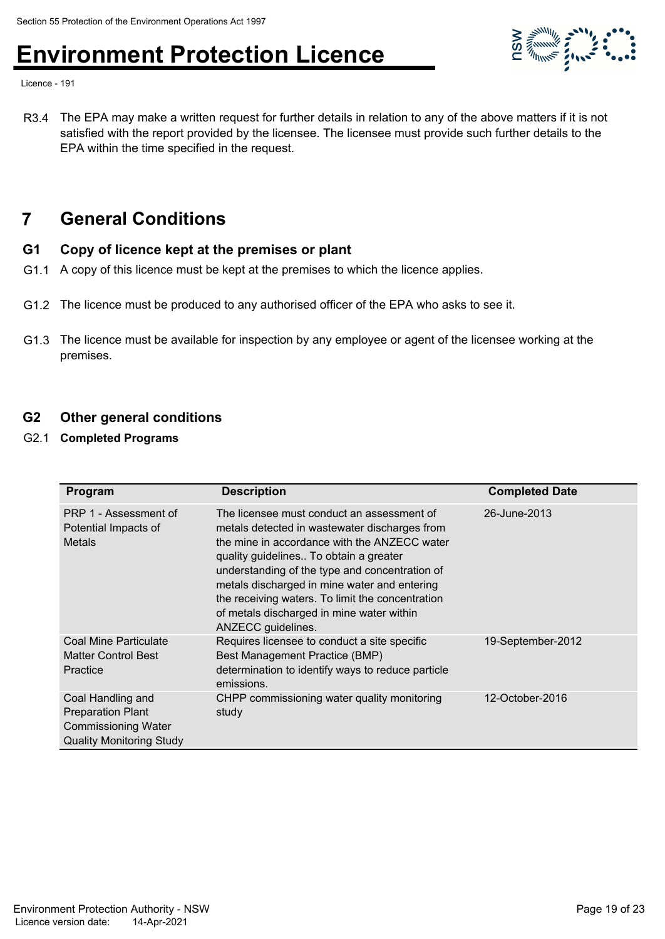

Licence - 191

R3.4 The EPA may make a written request for further details in relation to any of the above matters if it is not satisfied with the report provided by the licensee. The licensee must provide such further details to the EPA within the time specified in the request.

### **7 General Conditions**

#### **G1 Copy of licence kept at the premises or plant**

- G1.1 A copy of this licence must be kept at the premises to which the licence applies.
- G1.2 The licence must be produced to any authorised officer of the EPA who asks to see it.
- G1.3 The licence must be available for inspection by any employee or agent of the licensee working at the premises.

#### **G2 Other general conditions**

G2.1 **Completed Programs**

| Program                                                                                                        | <b>Description</b>                                                                                                                                                                                                                                                                                                                                                                                             | <b>Completed Date</b> |
|----------------------------------------------------------------------------------------------------------------|----------------------------------------------------------------------------------------------------------------------------------------------------------------------------------------------------------------------------------------------------------------------------------------------------------------------------------------------------------------------------------------------------------------|-----------------------|
| PRP 1 - Assessment of<br>Potential Impacts of<br><b>Metals</b>                                                 | The licensee must conduct an assessment of<br>metals detected in wastewater discharges from<br>the mine in accordance with the ANZECC water<br>quality guidelines To obtain a greater<br>understanding of the type and concentration of<br>metals discharged in mine water and entering<br>the receiving waters. To limit the concentration<br>of metals discharged in mine water within<br>ANZECC guidelines. | 26-June-2013          |
| Coal Mine Particulate<br><b>Matter Control Best</b><br>Practice                                                | Requires licensee to conduct a site specific<br>Best Management Practice (BMP)<br>determination to identify ways to reduce particle<br>emissions.                                                                                                                                                                                                                                                              | 19-September-2012     |
| Coal Handling and<br><b>Preparation Plant</b><br><b>Commissioning Water</b><br><b>Quality Monitoring Study</b> | CHPP commissioning water quality monitoring<br>study                                                                                                                                                                                                                                                                                                                                                           | 12-October-2016       |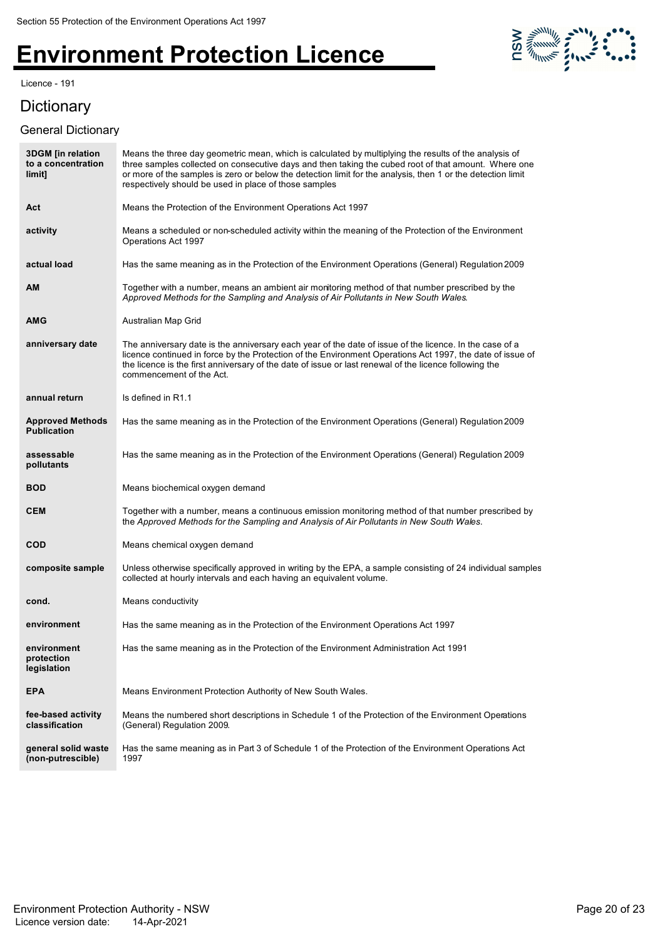Licence - 191

### **Dictionary**

#### General Dictionary



| <b>3DGM</b> [in relation<br>to a concentration<br>limit] | Means the three day geometric mean, which is calculated by multiplying the results of the analysis of<br>three samples collected on consecutive days and then taking the cubed root of that amount. Where one<br>or more of the samples is zero or below the detection limit for the analysis, then 1 or the detection limit<br>respectively should be used in place of those samples |
|----------------------------------------------------------|---------------------------------------------------------------------------------------------------------------------------------------------------------------------------------------------------------------------------------------------------------------------------------------------------------------------------------------------------------------------------------------|
| Act                                                      | Means the Protection of the Environment Operations Act 1997                                                                                                                                                                                                                                                                                                                           |
| activity                                                 | Means a scheduled or non-scheduled activity within the meaning of the Protection of the Environment<br>Operations Act 1997                                                                                                                                                                                                                                                            |
| actual load                                              | Has the same meaning as in the Protection of the Environment Operations (General) Regulation 2009                                                                                                                                                                                                                                                                                     |
| АM                                                       | Together with a number, means an ambient air monitoring method of that number prescribed by the<br>Approved Methods for the Sampling and Analysis of Air Pollutants in New South Wales.                                                                                                                                                                                               |
| AMG                                                      | Australian Map Grid                                                                                                                                                                                                                                                                                                                                                                   |
| anniversary date                                         | The anniversary date is the anniversary each year of the date of issue of the licence. In the case of a<br>licence continued in force by the Protection of the Environment Operations Act 1997, the date of issue of<br>the licence is the first anniversary of the date of issue or last renewal of the licence following the<br>commencement of the Act.                            |
| annual return                                            | Is defined in R1.1                                                                                                                                                                                                                                                                                                                                                                    |
| <b>Approved Methods</b><br><b>Publication</b>            | Has the same meaning as in the Protection of the Environment Operations (General) Regulation 2009                                                                                                                                                                                                                                                                                     |
| assessable<br>pollutants                                 | Has the same meaning as in the Protection of the Environment Operations (General) Regulation 2009                                                                                                                                                                                                                                                                                     |
| <b>BOD</b>                                               | Means biochemical oxygen demand                                                                                                                                                                                                                                                                                                                                                       |
| <b>CEM</b>                                               | Together with a number, means a continuous emission monitoring method of that number prescribed by<br>the Approved Methods for the Sampling and Analysis of Air Pollutants in New South Wales.                                                                                                                                                                                        |
| <b>COD</b>                                               | Means chemical oxygen demand                                                                                                                                                                                                                                                                                                                                                          |
| composite sample                                         | Unless otherwise specifically approved in writing by the EPA, a sample consisting of 24 individual samples<br>collected at hourly intervals and each having an equivalent volume.                                                                                                                                                                                                     |
| cond.                                                    | Means conductivity                                                                                                                                                                                                                                                                                                                                                                    |
| environment                                              | Has the same meaning as in the Protection of the Environment Operations Act 1997                                                                                                                                                                                                                                                                                                      |
| environment<br>protection<br>legislation                 | Has the same meaning as in the Protection of the Environment Administration Act 1991                                                                                                                                                                                                                                                                                                  |
| <b>EPA</b>                                               | Means Environment Protection Authority of New South Wales.                                                                                                                                                                                                                                                                                                                            |
| fee-based activity<br>classification                     | Means the numbered short descriptions in Schedule 1 of the Protection of the Environment Operations<br>(General) Regulation 2009.                                                                                                                                                                                                                                                     |
| general solid waste<br>(non-putrescible)                 | Has the same meaning as in Part 3 of Schedule 1 of the Protection of the Environment Operations Act<br>1997                                                                                                                                                                                                                                                                           |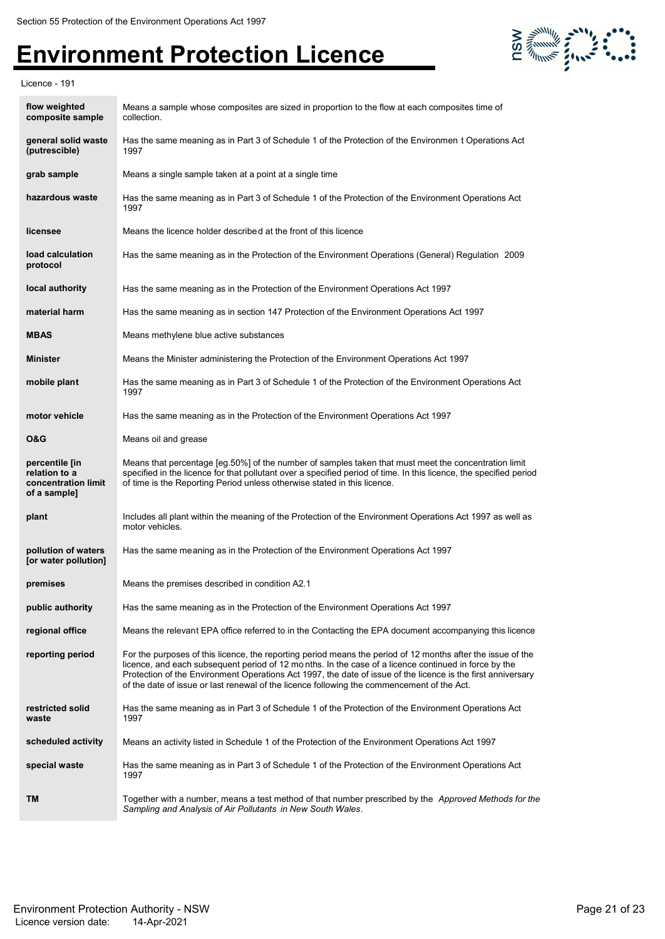

Licence - 191

| flow weighted<br>composite sample                                      | Means a sample whose composites are sized in proportion to the flow at each composites time of<br>collection.                                                                                                                                                                                                                                                                                                                     |
|------------------------------------------------------------------------|-----------------------------------------------------------------------------------------------------------------------------------------------------------------------------------------------------------------------------------------------------------------------------------------------------------------------------------------------------------------------------------------------------------------------------------|
| general solid waste<br>(putrescible)                                   | Has the same meaning as in Part 3 of Schedule 1 of the Protection of the Environmen t Operations Act<br>1997                                                                                                                                                                                                                                                                                                                      |
| grab sample                                                            | Means a single sample taken at a point at a single time                                                                                                                                                                                                                                                                                                                                                                           |
| hazardous waste                                                        | Has the same meaning as in Part 3 of Schedule 1 of the Protection of the Environment Operations Act<br>1997                                                                                                                                                                                                                                                                                                                       |
| licensee                                                               | Means the licence holder described at the front of this licence                                                                                                                                                                                                                                                                                                                                                                   |
| load calculation<br>protocol                                           | Has the same meaning as in the Protection of the Environment Operations (General) Regulation 2009                                                                                                                                                                                                                                                                                                                                 |
| local authority                                                        | Has the same meaning as in the Protection of the Environment Operations Act 1997                                                                                                                                                                                                                                                                                                                                                  |
| material harm                                                          | Has the same meaning as in section 147 Protection of the Environment Operations Act 1997                                                                                                                                                                                                                                                                                                                                          |
| <b>MBAS</b>                                                            | Means methylene blue active substances                                                                                                                                                                                                                                                                                                                                                                                            |
| <b>Minister</b>                                                        | Means the Minister administering the Protection of the Environment Operations Act 1997                                                                                                                                                                                                                                                                                                                                            |
| mobile plant                                                           | Has the same meaning as in Part 3 of Schedule 1 of the Protection of the Environment Operations Act<br>1997                                                                                                                                                                                                                                                                                                                       |
| motor vehicle                                                          | Has the same meaning as in the Protection of the Environment Operations Act 1997                                                                                                                                                                                                                                                                                                                                                  |
| <b>O&amp;G</b>                                                         | Means oil and grease                                                                                                                                                                                                                                                                                                                                                                                                              |
| percentile [in<br>relation to a<br>concentration limit<br>of a sample] | Means that percentage [eg.50%] of the number of samples taken that must meet the concentration limit<br>specified in the licence for that pollutant over a specified period of time. In this licence, the specified period<br>of time is the Reporting Period unless otherwise stated in this licence.                                                                                                                            |
| plant                                                                  | Includes all plant within the meaning of the Protection of the Environment Operations Act 1997 as well as<br>motor vehicles.                                                                                                                                                                                                                                                                                                      |
| pollution of waters<br>[or water pollution]                            | Has the same meaning as in the Protection of the Environment Operations Act 1997                                                                                                                                                                                                                                                                                                                                                  |
| premises                                                               | Means the premises described in condition A2.1                                                                                                                                                                                                                                                                                                                                                                                    |
| public authority                                                       | Has the same meaning as in the Protection of the Environment Operations Act 1997                                                                                                                                                                                                                                                                                                                                                  |
| regional office                                                        | Means the relevant EPA office referred to in the Contacting the EPA document accompanying this licence                                                                                                                                                                                                                                                                                                                            |
| reporting period                                                       | For the purposes of this licence, the reporting period means the period of 12 months after the issue of the<br>licence, and each subsequent period of 12 months. In the case of a licence continued in force by the<br>Protection of the Environment Operations Act 1997, the date of issue of the licence is the first anniversary<br>of the date of issue or last renewal of the licence following the commencement of the Act. |
| restricted solid<br>waste                                              | Has the same meaning as in Part 3 of Schedule 1 of the Protection of the Environment Operations Act<br>1997                                                                                                                                                                                                                                                                                                                       |
| scheduled activity                                                     | Means an activity listed in Schedule 1 of the Protection of the Environment Operations Act 1997                                                                                                                                                                                                                                                                                                                                   |
| special waste                                                          | Has the same meaning as in Part 3 of Schedule 1 of the Protection of the Environment Operations Act<br>1997                                                                                                                                                                                                                                                                                                                       |
| TM                                                                     | Together with a number, means a test method of that number prescribed by the Approved Methods for the<br>Sampling and Analysis of Air Pollutants in New South Wales.                                                                                                                                                                                                                                                              |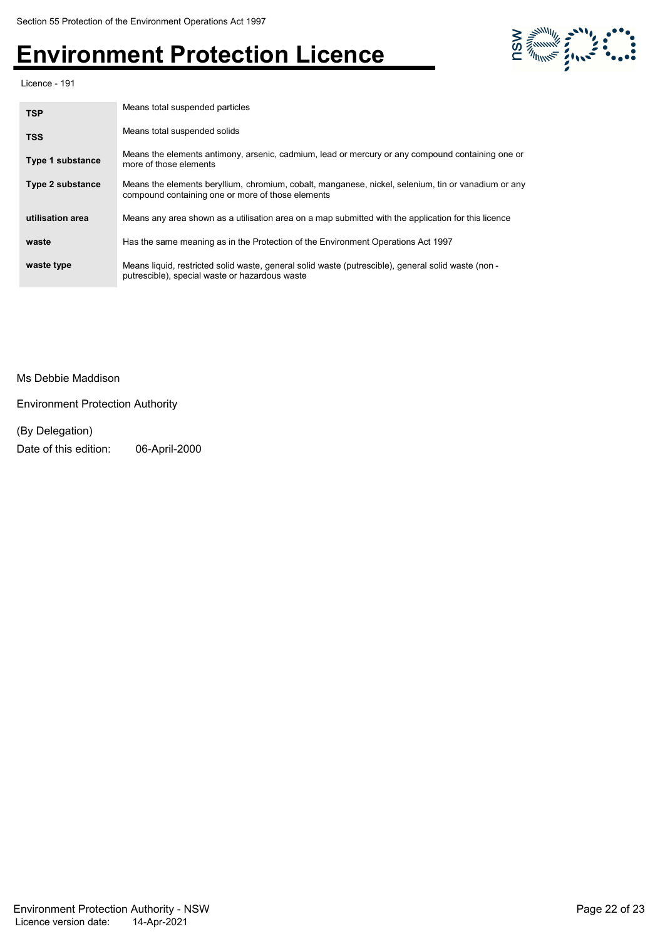

Licence - 191

| <b>TSP</b>              | Means total suspended particles                                                                                                                          |
|-------------------------|----------------------------------------------------------------------------------------------------------------------------------------------------------|
| <b>TSS</b>              | Means total suspended solids                                                                                                                             |
| <b>Type 1 substance</b> | Means the elements antimony, arsenic, cadmium, lead or mercury or any compound containing one or<br>more of those elements                               |
| <b>Type 2 substance</b> | Means the elements beryllium, chromium, cobalt, manganese, nickel, selenium, tin or vanadium or any<br>compound containing one or more of those elements |
| utilisation area        | Means any area shown as a utilisation area on a map submitted with the application for this licence                                                      |
| waste                   | Has the same meaning as in the Protection of the Environment Operations Act 1997                                                                         |
| waste type              | Means liquid, restricted solid waste, general solid waste (putrescible), general solid waste (non -<br>putrescible), special waste or hazardous waste    |

#### Ms Debbie Maddison

Environment Protection Authority

#### (By Delegation) Date of this edition: 06-April-2000